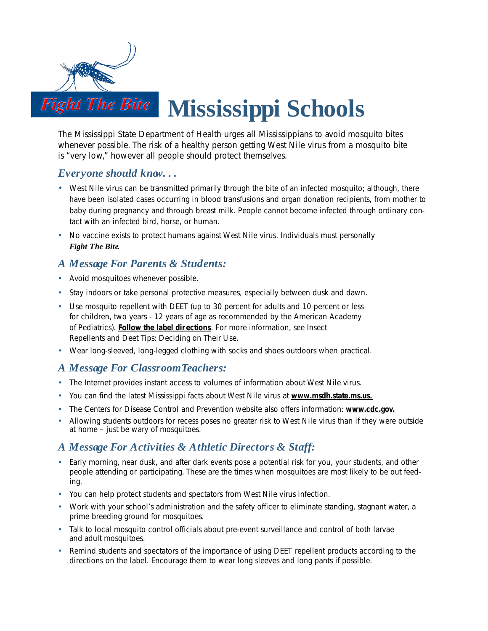

The Mississippi State Department of Health urges all Mississippians to avoid mosquito bites whenever possible. The risk of a healthy person getting West Nile virus from a mosquito bite is "very low," however all people should protect themselves.

# *Everyone should know. . .*

- West Nile virus can be transmitted *primarily* through the bite of an infected mosquito; although, there have been isolated cases occurring in blood transfusions and organ donation recipients, from mother to baby during pregnancy and through breast milk. People cannot become infected through ordinary contact with an infected bird, horse, or human.
- No vaccine exists to protect humans against West Nile virus. Individuals must personally *Fight The Bite.*

# *A Message For Parents & Students:*

- Avoid mosquitoes whenever possible.
- Stay indoors or take personal protective measures, especially between dusk and dawn.
- Use mosquito repellent with DEET (up to 30 percent for adults and 10 percent or less for children, two years - 12 years of age as recommended by the American Academy of Pediatrics). **Follow the label dir ections**. For more information, see Insect Repellents and Deet Tips: Deciding on Their Use.
- Wear long-sleeved, long-legged clothing with socks and shoes outdoors when practical.

# *A Message For Classroom Teachers:*

- The Internet provides instant access to volumes of information about West Nile virus.
- You can find the latest Mississippi facts about West Nile virus at **www.msdh.state.ms.us.**
- The Centers for Disease Control and Prevention website also offers information: **www.cdc.gov.**
- Allowing students outdoors for recess poses no greater risk to West Nile virus than if they were outside at home – just be wary of mosquitoes.

# *A Message For Activities & Athletic Directors & Staff:*

- Early morning, near dusk, and after dark events pose a potential risk for you, your students, and other people attending or participating. These are the times when mosquitoes are most likely to be out feeding.
- You can help protect students and spectators from West Nile virus infection.
- Work with your school's administration and the safety officer to eliminate standing, stagnant water, a prime breeding ground for mosquitoes.
- Talk to local mosquito control officials about pre-event surveillance and control of both larvae and adult mosquitoes.
- Remind students and spectators of the importance of using DEET repellent products according to the directions on the label. Encourage them to wear long sleeves and long pants if possible.